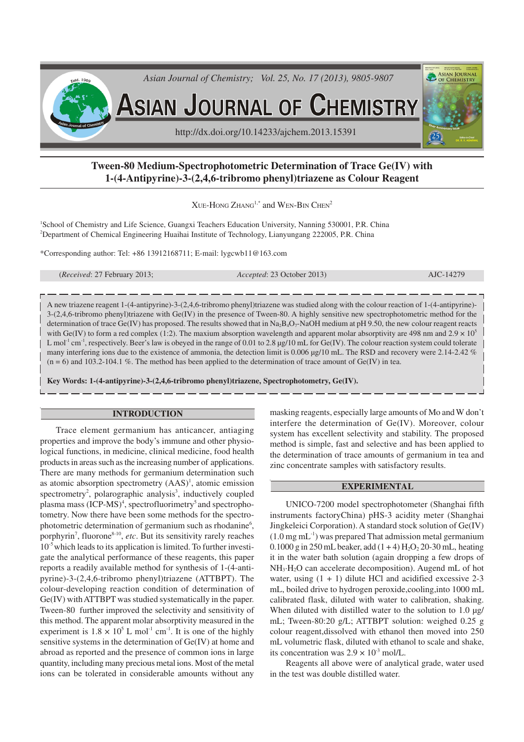

# **Tween-80 Medium-Spectrophotometric Determination of Trace Ge(IV) with 1-(4-Antipyrine)-3-(2,4,6-tribromo phenyl)triazene as Colour Reagent**

 $XUE-HONG ZHANG<sup>1,*</sup>$  and WEN-BIN CHEN<sup>2</sup>

<sup>1</sup>School of Chemistry and Life Science, Guangxi Teachers Education University, Nanning 530001, P.R. China <sup>2</sup>Department of Chemical Engineering Huaihai Institute of Technology, Lianyungang 222005, P.R. China

\*Corresponding author: Tel: +86 13912168711; E-mail: lygcwb11@163.com

A new triazene reagent 1-(4-antipyrine)-3-(2,4,6-tribromo phenyl)triazene was studied along with the colour reaction of 1-(4-antipyrine)- 3-(2,4,6-tribromo phenyl)triazene with Ge(IV) in the presence of Tween-80. A highly sensitive new spectrophotometric method for the determination of trace Ge(IV) has proposed. The results showed that in Na<sub>2</sub>B<sub>4</sub>O<sub>7</sub>-NaOH medium at pH 9.50, the new colour reagent reacts with Ge(IV) to form a red complex (1:2). The maxium absorption wavelength and apparent molar absorptivity are 498 nm and  $2.9 \times 10^5$ L mol<sup>-1</sup> cm<sup>-1</sup>, respectively. Beer's law is obeyed in the range of 0.01 to 2.8  $\mu$ g/10 mL for Ge(IV). The colour reaction system could tolerate many interfering ions due to the existence of ammonia, the detection limit is 0.006 µg/10 mL. The RSD and recovery were 2.14-2.42 %  $(n = 6)$  and 103.2-104.1 %. The method has been applied to the determination of trace amount of Ge(IV) in tea.

**Key Words: 1-(4-antipyrine)-3-(2,4,6-tribromo phenyl)triazene, Spectrophotometry, Ge(IV).**

#### **INTRODUCTION**

Trace element germanium has anticancer, antiaging properties and improve the body's immune and other physiological functions, in medicine, clinical medicine, food health products in areas such as the increasing number of applications. There are many methods for germanium determination such as atomic absorption spectrometry (AAS)<sup>1</sup>, atomic emission spectrometry<sup>2</sup>, polarographic analysis<sup>3</sup>, inductively coupled plasma mass (ICP-MS)<sup>4</sup>, spectrofluorimetry<sup>5</sup> and spectrophotometry. Now there have been some methods for the spectrophotometric determination of germanium such as rhodanine<sup>6</sup>, porphyrin<sup>7</sup>, fluorone<sup>8-10</sup>, etc. But its sensitivity rarely reaches  $10<sup>5</sup>$  which leads to its application is limited. To further investigate the analytical performance of these reagents, this paper reports a readily available method for synthesis of 1-(4-antipyrine)-3-(2,4,6-tribromo phenyl)triazene (ATTBPT). The colour-developing reaction condition of determination of Ge(IV) with ATTBPT was studied systematically in the paper. Tween-80 further improved the selectivity and sensitivity of this method. The apparent molar absorptivity measured in the experiment is  $1.8 \times 10^5$  L mol<sup>-1</sup> cm<sup>-1</sup>. It is one of the highly sensitive systems in the determination of Ge(IV) at home and abroad as reported and the presence of common ions in large quantity, including many precious metal ions. Most of the metal ions can be tolerated in considerable amounts without any

masking reagents, especially large amounts of Mo and W don't interfere the determination of Ge(IV). Moreover, colour system has excellent selectivity and stability. The proposed method is simple, fast and selective and has been applied to the determination of trace amounts of germanium in tea and zinc concentrate samples with satisfactory results.

*Accepted*: 23 October 2013) **AJC-14279** 

# **EXPERIMENTAL**

UNICO-7200 model spectrophotometer (Shanghai fifth instruments factoryChina) pHS-3 acidity meter (Shanghai Jingkeleici Corporation). A standard stock solution of Ge(IV)  $(1.0 \text{ mg} \text{ mL}^{-1})$  was prepared That admission metal germanium 0.1000 g in 250 mL beaker, add  $(1 + 4)$  H<sub>2</sub>O<sub>2</sub> 20-30 mL, heating it in the water bath solution (again dropping a few drops of NH3·H2O can accelerate decomposition). Augend mL of hot water, using  $(1 + 1)$  dilute HCl and acidified excessive 2-3 mL, boiled drive to hydrogen peroxide,cooling,into 1000 mL calibrated flask, diluted with water to calibration, shaking. When diluted with distilled water to the solution to 1.0  $\mu$ g/ mL; Tween-80:20 g/L; ATTBPT solution: weighed 0.25 g colour reagent,dissolved with ethanol then moved into 250 mL volumetric flask, diluted with ethanol to scale and shake, its concentration was  $2.9 \times 10^{3}$  mol/L.

Reagents all above were of analytical grade, water used in the test was double distilled water.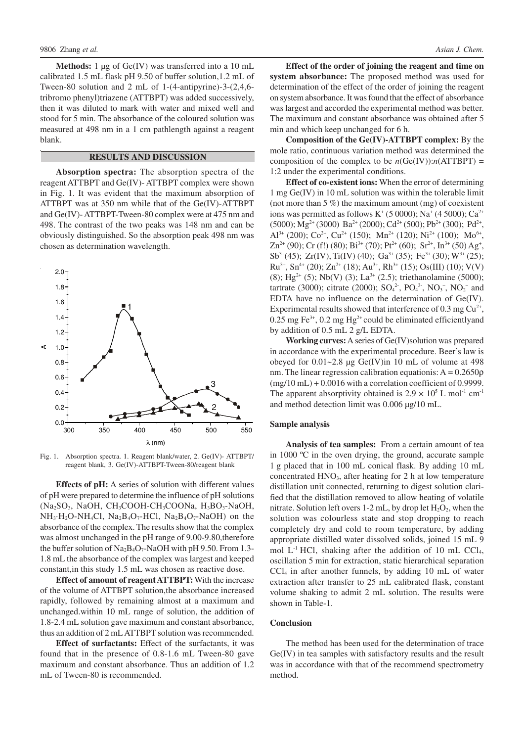**Methods:** 1 µg of Ge(IV) was transferred into a 10 mL calibrated 1.5 mL flask pH 9.50 of buffer solution,1.2 mL of Tween-80 solution and 2 mL of 1-(4-antipyrine)-3-(2,4,6 tribromo phenyl)triazene (ATTBPT) was added successively, then it was diluted to mark with water and mixed well and stood for 5 min. The absorbance of the coloured solution was measured at 498 nm in a 1 cm pathlength against a reagent blank.

## **RESULTS AND DISCUSSION**

**Absorption spectra:** The absorption spectra of the reagent ATTBPT and Ge(IV)- ATTBPT complex were shown in Fig. 1. It was evident that the maximum absorption of ATTBPT was at 350 nm while that of the Ge(IV)-ATTBPT and Ge(IV)- ATTBPT-Tween-80 complex were at 475 nm and 498. The contrast of the two peaks was 148 nm and can be obviously distinguished. So the absorption peak 498 nm was chosen as determination wavelength.



Fig. 1. Absorption spectra. 1. Reagent blank/water, 2. Ge(IV)- ATTBPT/ reagent blank, 3. Ge(IV)-ATTBPT-Tween-80/reagent blank

**Effects of pH:** A series of solution with different values of pH were prepared to determine the influence of pH solutions (Na<sub>2</sub>SO<sub>3</sub>, NaOH, CH<sub>3</sub>COOH-CH<sub>3</sub>COONa, H<sub>3</sub>BO<sub>3</sub>-NaOH,  $NH_3·H_2O-NH_4Cl$ ,  $Na_2B_4O_7-HCl$ ,  $Na_2B_4O_7-NaOH$  on the absorbance of the complex. The results show that the complex was almost unchanged in the pH range of 9.00-9.80,therefore the buffer solution of  $Na<sub>2</sub>B<sub>4</sub>O<sub>7</sub>$ -NaOH with pH 9.50. From 1.3-1.8 mL the absorbance of the complex was largest and keeped constant,in this study 1.5 mL was chosen as reactive dose.

**Effect of amount of reagent ATTBPT:** With the increase of the volume of ATTBPT solution,the absorbance increased rapidly, followed by remaining almost at a maximum and unchanged.within 10 mL range of solution, the addition of 1.8-2.4 mL solution gave maximum and constant absorbance, thus an addition of 2 mL ATTBPT solution was recommended.

**Effect of surfactants:** Effect of the surfactants, it was found that in the presence of 0.8-1.6 mL Tween-80 gave maximum and constant absorbance. Thus an addition of 1.2 mL of Tween-80 is recommended.

**Effect of the order of joining the reagent and time on system absorbance:** The proposed method was used for determination of the effect of the order of joining the reagent on system absorbance. It was found that the effect of absorbance was largest and accorded the experimental method was better. The maximum and constant absorbance was obtained after 5 min and which keep unchanged for 6 h.

**Composition of the Ge(IV)-ATTBPT complex:** By the mole ratio, continuous variation method was determined the composition of the complex to be  $n(Ge(IV))$ : $n(ATTBPT)$  = 1:2 under the experimental conditions.

**Effect of co-existent ions:** When the error of determining 1 mg Ge(IV) in 10 mL solution was within the tolerable limit (not more than 5 %) the maximum amount (mg) of coexistent ions was permitted as follows  $K^+$  (5 0000); Na<sup>+</sup> (4 5000); Ca<sup>2+</sup>  $(5000)$ ; Mg<sup>2+</sup> (3000) Ba<sup>2+</sup> (2000); Cd<sup>2+</sup> (500); Pb<sup>2+</sup> (300); Pd<sup>2+</sup>, Al<sup>3+</sup> (200); Co<sup>2+</sup>, Cu<sup>2+</sup> (150); Mn<sup>2+</sup> (120); Ni<sup>2+</sup> (100); Mo<sup>6+</sup>,  $\text{Zn}^{2+}(90)$ ; Cr (f!) (80); Bi<sup>3+</sup> (70); Pt<sup>2+</sup> (60); Sr<sup>2+</sup>, In<sup>3+</sup> (50) Ag<sup>+</sup>,  $Sb^{3+}(45)$ ; Zr(IV), Ti(IV) (40); Ga<sup>3+</sup> (35); Fe<sup>3+</sup> (30); W<sup>3+</sup> (25);  $Ru^{3+}$ , Sn<sup>4+</sup> (20); Zn<sup>2+</sup> (18); Au<sup>3+</sup>, Rh<sup>3+</sup> (15); Os(III) (10); V(V) (8); Hg<sup>2+</sup> (5); Nb(V) (3); La<sup>3+</sup> (2.5); triethanolamine (5000); tartrate (3000); citrate (2000);  $SO_4^2$ ,  $PO_4^3$ ,  $NO_3^-$ ,  $NO_2^-$  and EDTA have no influence on the determination of Ge(IV). Experimental results showed that interference of  $0.3$  mg Cu<sup>2+</sup>, 0.25 mg Fe<sup>3+</sup>, 0.2 mg Hg<sup>2+</sup> could be eliminated efficientlyand by addition of 0.5 mL 2 g/L EDTA.

**Working curves:**A series of Ge(IV)solution was prepared in accordance with the experimental procedure. Beer's law is obeyed for  $0.01~2.8$  µg Ge(IV)in 10 mL of volume at 498 nm. The linear regression calibration equationis:  $A = 0.2650\rho$  $(mg/10 \text{ mL}) + 0.0016$  with a correlation coefficient of 0.9999. The apparent absorptivity obtained is  $2.9 \times 10^5$  L mol<sup>-1</sup> cm<sup>-1</sup> and method detection limit was 0.006 µg/10 mL.

#### **Sample analysis**

**Analysis of tea samples:** From a certain amount of tea in 1000 ºC in the oven drying, the ground, accurate sample 1 g placed that in 100 mL conical flask. By adding 10 mL concentrated  $HNO<sub>3</sub>$ , after heating for 2 h at low temperature distillation unit connected, returning to digest solution clarified that the distillation removed to allow heating of volatile nitrate. Solution left overs 1-2 mL, by drop let  $H_2O_2$ , when the solution was colourless state and stop dropping to reach completely dry and cold to room temperature, by adding appropriate distilled water dissolved solids, joined 15 mL 9 mol  $L^{-1}$  HCl, shaking after the addition of 10 mL CCl<sub>4</sub>, oscillation 5 min for extraction, static hierarchical separation  $\text{CCl}_4$  in after another funnels, by adding 10 mL of water extraction after transfer to 25 mL calibrated flask, constant volume shaking to admit 2 mL solution. The results were shown in Table-1.

#### **Conclusion**

The method has been used for the determination of trace Ge(IV) in tea samples with satisfactory results and the result was in accordance with that of the recommend spectrometry method.